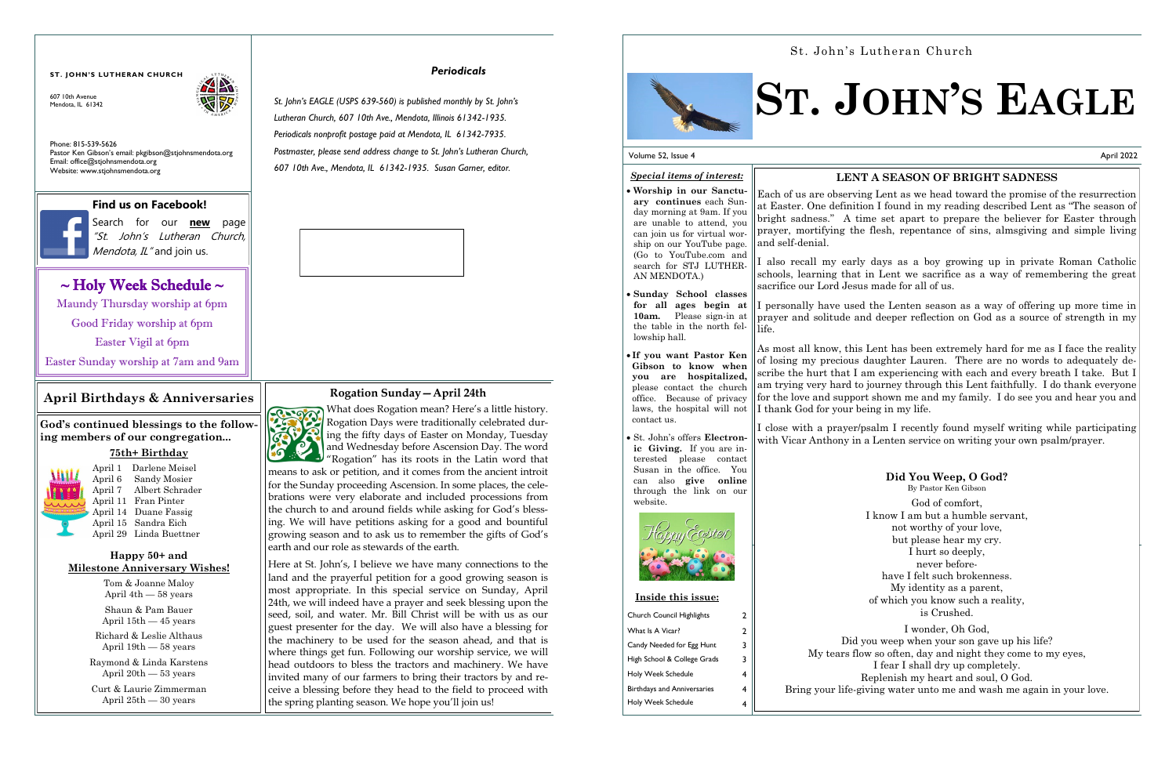# *Periodicals*

*St. John's EAGLE (USPS 639-560) is published monthly by St. John's Lutheran Church, 607 10th Ave., Mendota, Illinois 61342-1935. Periodicals nonprofit postage paid at Mendota, IL 61342-7935. Postmaster, please send address change to St. John's Lutheran Church, 607 10th Ave., Mendota, IL 61342-1935. Susan Garner, editor.*

607 10th Avenue Mendota, IL 61342



# **ST. JOHN'S LUTHERAN CHURCH**

**God's continued blessings to the following members of our congregation...** 

# **75th+ Birthday**



Search for our **new** page "St. John's Lutheran Church, Mendota, IL" and join us.

# $\sim$  Holy Week Schedule  $\sim$

April 1 Darlene Meisel April 6 Sandy Mosier April 7 Albert Schrader April 11 Fran Pinter April 14 Duane Fassig April 15 Sandra Eich April 29 Linda Buettner

# **Happy 50+ and Milestone Anniversary Wishes!**

Tom & Joanne Maloy April 4th — 58 years

Shaun & Pam Bauer April 15th — 45 years

Richard & Leslie Althaus April 19th — 58 years

Raymond & Linda Karstens April 20th — 53 years

Curt & Laurie Zimmerman April 25th — 30 years

# **April Birthdays & Anniversaries**

Phone: 815-539-5626 Pastor Ken Gibson's email: pkgibson@stjohnsmendota.org Email: office@stjohnsmendota.org Website: www.stjohnsmendota.org

# **Find us on Facebook!**

# **Rogation Sunday—April 24th**



If personally have used the Lenten season as a way of offering up more time in prayer and solitude and deeper reflection on God as a source of strength in my

As most all know, this Lent has been extremely hard for me as I face the reality of losing my precious daughter Lauren. There are no words to adequately describe the hurt that I am experiencing with each and every breath I take. But I am trying very hard to journey through this Lent faithfully. I do thank everyone for the love and support shown me and my family. I do see you and hear you and If thank God for your being in my life.

Here at St. John's, I believe we have many connections to the land and the prayerful petition for a good growing season is most appropriate. In this special service on Sunday, April 24th, we will indeed have a prayer and seek blessing upon the seed, soil, and water. Mr. Bill Christ will be with us as our guest presenter for the day. We will also have a blessing for the machinery to be used for the season ahead, and that is where things get fun. Following our worship service, we will head outdoors to bless the tractors and machinery. We have invited many of our farmers to bring their tractors by and receive a blessing before they head to the field to proceed with the spring planting season. We hope you'll join us!



Maundy Thursday worship at 6pm

Good Friday worship at 6pm

Easter Vigil at 6pm

Easter Sunday worship at 7am and 9am

## Volume 52, Issue 4

# **ST. JOHN'S EAGLE**

# *Special items of interest:*

• **Worship in our Sanctuary continues** each Sunday morning at 9am. If you are unable to attend, you can join us for virtual worship on our YouTube page. (Go to YouTube.com and search for STJ LUTHER-

AN MENDOTA.)

- **Sunday School classes for all ages begin at 10am.** Please sign-in at the table in the north fel- $\|\text{life}$ . lowship hall.
- **If you want Pastor Ken Gibson to know when you are hospitalized,**  please contact the church office. Because of privacy laws, the hospital will not contact us.
- St. John's offers **Electronic Giving.** If you are interested please contact Susan in the office. You can also **give online** through the link on our website.



# Church Council Highlights 2 What Is A Vicar? 2 Candy Needed for Egg Hunt 3 High School & College Grads 3 Holy Week Schedule 4 Birthdays and Anniversaries 4 Holy Week Schedule 4 **Inside this issue:**

April 2022

# **LENT A SEASON OF BRIGHT SADNESS**

Each of us are observing Lent as we head toward the promise of the resurrection at Easter. One definition I found in my reading described Lent as "The season of bright sadness." A time set apart to prepare the believer for Easter through prayer, mortifying the flesh, repentance of sins, almsgiving and simple living and self-denial.

I also recall my early days as a boy growing up in private Roman Catholic schools, learning that in Lent we sacrifice as a way of remembering the great sacrifice our Lord Jesus made for all of us.

I close with a prayer/psalm I recently found myself writing while participating with Vicar Anthony in a Lenten service on writing your own psalm/prayer.

> **Did You Weep, O God?** By Pastor Ken Gibson God of comfort, I know I am but a humble servant, not worthy of your love, but please hear my cry. I hurt so deeply, never beforehave I felt such brokenness. My identity as a parent, of which you know such a reality, is Crushed. I wonder, Oh God,

Did you weep when your son gave up his life? My tears flow so often, day and night they come to my eyes, I fear I shall dry up completely. Replenish my heart and soul, O God. Bring your life-giving water unto me and wash me again in your love.